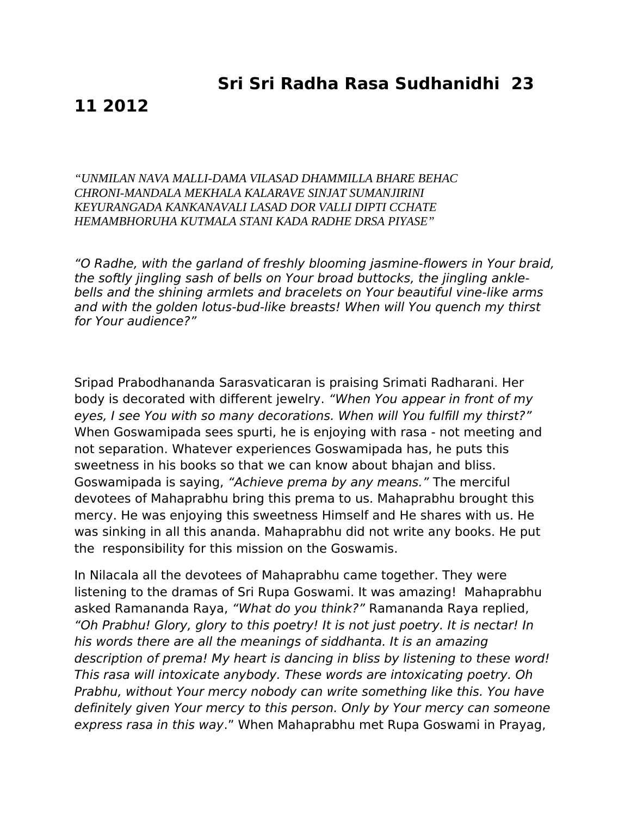## **Sri Sri Radha Rasa Sudhanidhi 23**

## **11 2012**

*"UNMILAN NAVA MALLI-DAMA VILASAD DHAMMILLA BHARE BEHAC CHRONI-MANDALA MEKHALA KALARAVE SINJAT SUMANJIRINI KEYURANGADA KANKANAVALI LASAD DOR VALLI DIPTI CCHATE HEMAMBHORUHA KUTMALA STANI KADA RADHE DRSA PIYASE"*

"O Radhe, with the garland of freshly blooming jasmine-flowers in Your braid, the softly jingling sash of bells on Your broad buttocks, the jingling anklebells and the shining armlets and bracelets on Your beautiful vine-like arms and with the golden lotus-bud-like breasts! When will You quench my thirst for Your audience?"

Sripad Prabodhananda Sarasvaticaran is praising Srimati Radharani. Her body is decorated with different jewelry. "When You appear in front of my eyes, I see You with so many decorations. When will You fulfill my thirst?" When Goswamipada sees spurti, he is enjoying with rasa - not meeting and not separation. Whatever experiences Goswamipada has, he puts this sweetness in his books so that we can know about bhajan and bliss. Goswamipada is saying, "Achieve prema by any means." The merciful devotees of Mahaprabhu bring this prema to us. Mahaprabhu brought this mercy. He was enjoying this sweetness Himself and He shares with us. He was sinking in all this ananda. Mahaprabhu did not write any books. He put the responsibility for this mission on the Goswamis.

In Nilacala all the devotees of Mahaprabhu came together. They were listening to the dramas of Sri Rupa Goswami. It was amazing! Mahaprabhu asked Ramananda Raya, "What do you think?" Ramananda Raya replied, "Oh Prabhu! Glory, glory to this poetry! It is not just poetry. It is nectar! In his words there are all the meanings of siddhanta. It is an amazing description of prema! My heart is dancing in bliss by listening to these word! This rasa will intoxicate anybody. These words are intoxicating poetry. Oh Prabhu, without Your mercy nobody can write something like this. You have definitely given Your mercy to this person. Only by Your mercy can someone express rasa in this way." When Mahaprabhu met Rupa Goswami in Prayag,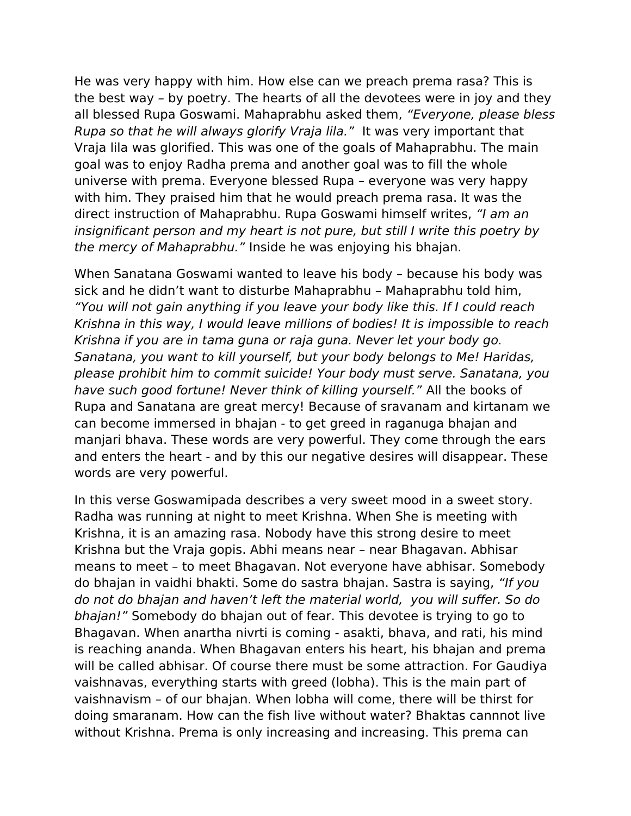He was very happy with him. How else can we preach prema rasa? This is the best way – by poetry. The hearts of all the devotees were in joy and they all blessed Rupa Goswami. Mahaprabhu asked them, "Everyone, please bless Rupa so that he will always glorify Vraja lila." It was very important that Vraja lila was glorified. This was one of the goals of Mahaprabhu. The main goal was to enjoy Radha prema and another goal was to fill the whole universe with prema. Everyone blessed Rupa – everyone was very happy with him. They praised him that he would preach prema rasa. It was the direct instruction of Mahaprabhu. Rupa Goswami himself writes, "I am an insignificant person and my heart is not pure, but still I write this poetry by the mercy of Mahaprabhu." Inside he was enjoying his bhajan.

When Sanatana Goswami wanted to leave his body – because his body was sick and he didn't want to disturbe Mahaprabhu – Mahaprabhu told him, "You will not gain anything if you leave your body like this. If I could reach Krishna in this way, I would leave millions of bodies! It is impossible to reach Krishna if you are in tama guna or raja guna. Never let your body go. Sanatana, you want to kill yourself, but your body belongs to Me! Haridas, please prohibit him to commit suicide! Your body must serve. Sanatana, you have such good fortune! Never think of killing yourself." All the books of Rupa and Sanatana are great mercy! Because of sravanam and kirtanam we can become immersed in bhajan - to get greed in raganuga bhajan and manjari bhava. These words are very powerful. They come through the ears and enters the heart - and by this our negative desires will disappear. These words are very powerful.

In this verse Goswamipada describes a very sweet mood in a sweet story. Radha was running at night to meet Krishna. When She is meeting with Krishna, it is an amazing rasa. Nobody have this strong desire to meet Krishna but the Vraja gopis. Abhi means near – near Bhagavan. Abhisar means to meet – to meet Bhagavan. Not everyone have abhisar. Somebody do bhajan in vaidhi bhakti. Some do sastra bhajan. Sastra is saying, "If you do not do bhajan and haven't left the material world, you will suffer. So do bhajan!" Somebody do bhajan out of fear. This devotee is trying to go to Bhagavan. When anartha nivrti is coming - asakti, bhava, and rati, his mind is reaching ananda. When Bhagavan enters his heart, his bhajan and prema will be called abhisar. Of course there must be some attraction. For Gaudiya vaishnavas, everything starts with greed (lobha). This is the main part of vaishnavism – of our bhajan. When lobha will come, there will be thirst for doing smaranam. How can the fish live without water? Bhaktas cannnot live without Krishna. Prema is only increasing and increasing. This prema can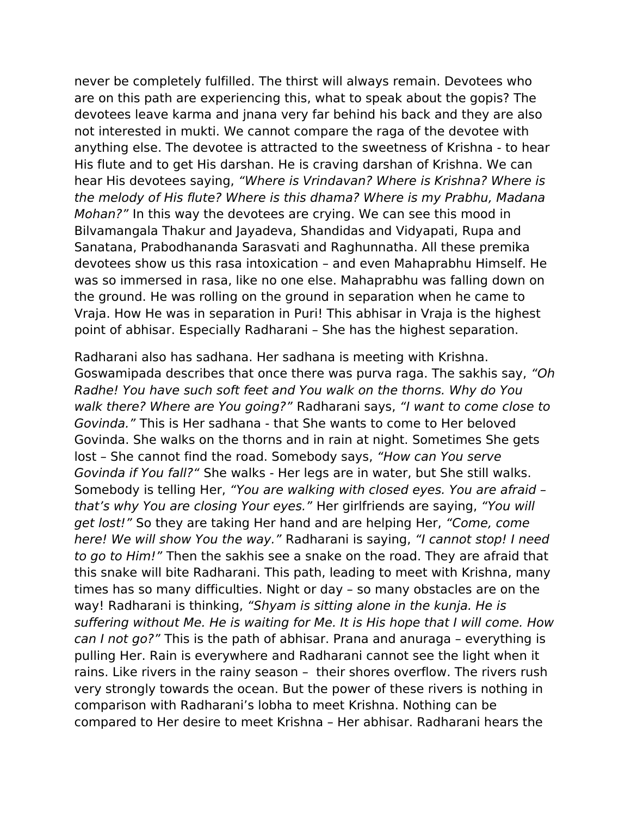never be completely fulfilled. The thirst will always remain. Devotees who are on this path are experiencing this, what to speak about the gopis? The devotees leave karma and jnana very far behind his back and they are also not interested in mukti. We cannot compare the raga of the devotee with anything else. The devotee is attracted to the sweetness of Krishna - to hear His flute and to get His darshan. He is craving darshan of Krishna. We can hear His devotees saying, "Where is Vrindavan? Where is Krishna? Where is the melody of His flute? Where is this dhama? Where is my Prabhu, Madana Mohan?" In this way the devotees are crying. We can see this mood in Bilvamangala Thakur and Jayadeva, Shandidas and Vidyapati, Rupa and Sanatana, Prabodhananda Sarasvati and Raghunnatha. All these premika devotees show us this rasa intoxication – and even Mahaprabhu Himself. He was so immersed in rasa, like no one else. Mahaprabhu was falling down on the ground. He was rolling on the ground in separation when he came to Vraja. How He was in separation in Puri! This abhisar in Vraja is the highest point of abhisar. Especially Radharani – She has the highest separation.

Radharani also has sadhana. Her sadhana is meeting with Krishna. Goswamipada describes that once there was purva raga. The sakhis say, "Oh Radhe! You have such soft feet and You walk on the thorns. Why do You walk there? Where are You going?" Radharani says, "I want to come close to Govinda." This is Her sadhana - that She wants to come to Her beloved Govinda. She walks on the thorns and in rain at night. Sometimes She gets lost – She cannot find the road. Somebody says, "How can You serve Govinda if You fall?" She walks - Her legs are in water, but She still walks. Somebody is telling Her, "You are walking with closed eyes. You are afraid – that's why You are closing Your eyes." Her girlfriends are saying, "You will get lost!" So they are taking Her hand and are helping Her, "Come, come here! We will show You the way." Radharani is saying, "I cannot stop! I need to go to Him!" Then the sakhis see a snake on the road. They are afraid that this snake will bite Radharani. This path, leading to meet with Krishna, many times has so many difficulties. Night or day – so many obstacles are on the way! Radharani is thinking, "Shyam is sitting alone in the kunja. He is suffering without Me. He is waiting for Me. It is His hope that I will come. How can I not go?" This is the path of abhisar. Prana and anuraga – everything is pulling Her. Rain is everywhere and Radharani cannot see the light when it rains. Like rivers in the rainy season – their shores overflow. The rivers rush very strongly towards the ocean. But the power of these rivers is nothing in comparison with Radharani's lobha to meet Krishna. Nothing can be compared to Her desire to meet Krishna – Her abhisar. Radharani hears the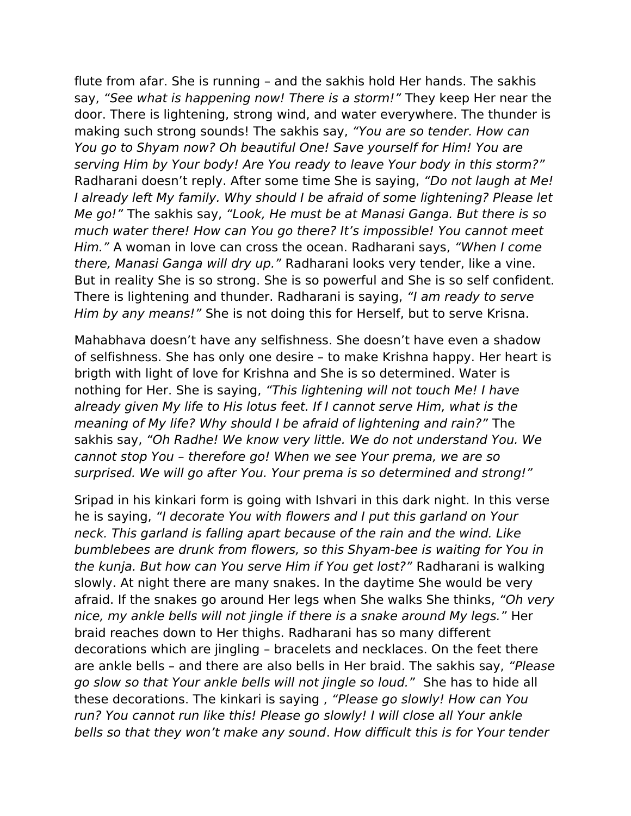flute from afar. She is running – and the sakhis hold Her hands. The sakhis say, "See what is happening now! There is a storm!" They keep Her near the door. There is lightening, strong wind, and water everywhere. The thunder is making such strong sounds! The sakhis say, "You are so tender. How can You go to Shyam now? Oh beautiful One! Save yourself for Him! You are serving Him by Your body! Are You ready to leave Your body in this storm?" Radharani doesn't reply. After some time She is saying, "Do not laugh at Me! I already left My family. Why should I be afraid of some lightening? Please let Me go!" The sakhis say, "Look, He must be at Manasi Ganga. But there is so much water there! How can You go there? It's impossible! You cannot meet Him." A woman in love can cross the ocean. Radharani says, "When I come there, Manasi Ganga will dry up." Radharani looks very tender, like a vine. But in reality She is so strong. She is so powerful and She is so self confident. There is lightening and thunder. Radharani is saying, "I am ready to serve Him by any means!" She is not doing this for Herself, but to serve Krisna.

Mahabhava doesn't have any selfishness. She doesn't have even a shadow of selfishness. She has only one desire – to make Krishna happy. Her heart is brigth with light of love for Krishna and She is so determined. Water is nothing for Her. She is saying, "This lightening will not touch Me! I have already given My life to His lotus feet. If I cannot serve Him, what is the meaning of My life? Why should I be afraid of lightening and rain?" The sakhis say, "Oh Radhe! We know very little. We do not understand You. We cannot stop You – therefore go! When we see Your prema, we are so surprised. We will go after You. Your prema is so determined and strong!"

Sripad in his kinkari form is going with Ishvari in this dark night. In this verse he is saying, "I decorate You with flowers and I put this garland on Your neck. This garland is falling apart because of the rain and the wind. Like bumblebees are drunk from flowers, so this Shyam-bee is waiting for You in the kunja. But how can You serve Him if You get lost?" Radharani is walking slowly. At night there are many snakes. In the daytime She would be very afraid. If the snakes go around Her legs when She walks She thinks, "Oh very nice, my ankle bells will not jingle if there is a snake around My legs." Her braid reaches down to Her thighs. Radharani has so many different decorations which are jingling – bracelets and necklaces. On the feet there are ankle bells – and there are also bells in Her braid. The sakhis say, "Please go slow so that Your ankle bells will not jingle so loud." She has to hide all these decorations. The kinkari is saying , "Please go slowly! How can You run? You cannot run like this! Please go slowly! I will close all Your ankle bells so that they won't make any sound. How difficult this is for Your tender